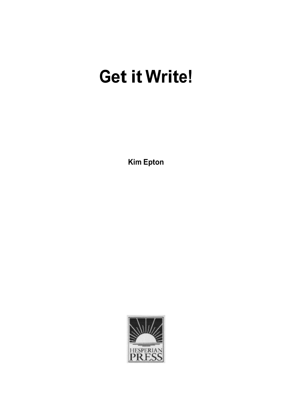# **Get it Write!**

**Kim Epton**

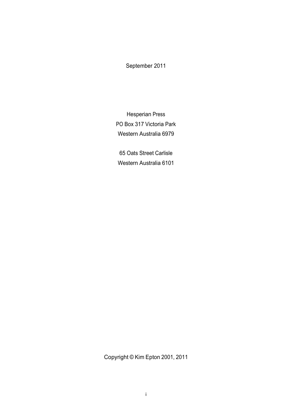#### September 2011

Hesperian Press PO Box 317 Victoria Park Western Australia 6979

65 Oats Street Carlisle Western Australia 6101

Copyright © Kim Epton 2001, 2011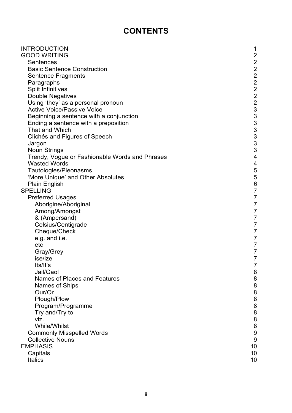# **CONTENTS**

| <b>INTRODUCTION</b>                                    | 1                       |
|--------------------------------------------------------|-------------------------|
| <b>GOOD WRITING</b>                                    | $\overline{c}$          |
| Sentences                                              |                         |
| <b>Basic Sentence Construction</b>                     |                         |
| <b>Sentence Fragments</b>                              |                         |
| Paragraphs                                             |                         |
| <b>Split Infinitives</b>                               |                         |
| <b>Double Negatives</b>                                |                         |
| Using 'they' as a personal pronoun                     | 22222233333333          |
| <b>Active Voice/Passive Voice</b>                      |                         |
| Beginning a sentence with a conjunction                |                         |
| Ending a sentence with a preposition<br>That and Which |                         |
|                                                        |                         |
| Clichés and Figures of Speech                          |                         |
| Jargon<br><b>Noun Strings</b>                          |                         |
| Trendy, Vogue or Fashionable Words and Phrases         | $\overline{\mathbf{4}}$ |
| <b>Wasted Words</b>                                    | 4                       |
| Tautologies/Pleonasms                                  |                         |
| 'More Unique' and Other Absolutes                      | $\frac{5}{5}$           |
| <b>Plain English</b>                                   |                         |
| <b>SPELLING</b>                                        | 6<br>7<br>7             |
| <b>Preferred Usages</b>                                |                         |
| Aborigine/Aboriginal                                   | $\overline{7}$          |
| Among/Amongst                                          | $\overline{7}$          |
| & (Ampersand)                                          | $\overline{7}$          |
| Celsius/Centigrade                                     | $\overline{7}$          |
| Cheque/Check                                           | $\overline{7}$          |
| e.g. and i.e.                                          | $\overline{7}$          |
| etc                                                    | $\overline{7}$          |
| Gray/Grey                                              | $\overline{7}$          |
| ise/ize                                                | $\overline{7}$          |
| Its/It's                                               | 7                       |
| Jail/Gaol                                              | 8                       |
| Names of Places and Features                           | $\bf 8$                 |
| Names of Ships                                         | 8                       |
| Our/Or                                                 | 8                       |
| Plough/Plow                                            | $\bf 8$                 |
| Program/Programme                                      | 8                       |
| Try and/Try to                                         | 8                       |
| viz.                                                   | $\bf 8$                 |
| <b>While/Whilst</b>                                    | 8                       |
| <b>Commonly Misspelled Words</b>                       | 9                       |
| <b>Collective Nouns</b>                                | $\boldsymbol{9}$        |
| <b>EMPHASIS</b>                                        | 10                      |
| Capitals                                               | 10                      |
| <b>Italics</b>                                         | 10                      |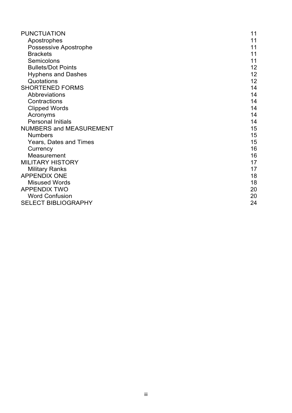<span id="page-3-0"></span>

| <b>PUNCTUATION</b>             | 11              |
|--------------------------------|-----------------|
| Apostrophes                    | 11              |
| <b>Possessive Apostrophe</b>   | 11              |
| <b>Brackets</b>                | 11              |
| Semicolons                     | 11              |
| <b>Bullets/Dot Points</b>      | 12 <sub>2</sub> |
| <b>Hyphens and Dashes</b>      | 12              |
| Quotations                     | 12              |
| <b>SHORTENED FORMS</b>         | 14              |
| Abbreviations                  | 14              |
| Contractions                   | 14              |
| <b>Clipped Words</b>           | 14              |
| Acronyms                       | 14              |
| <b>Personal Initials</b>       | 14              |
| <b>NUMBERS and MEASUREMENT</b> | 15              |
| <b>Numbers</b>                 | 15              |
| Years, Dates and Times         | 15              |
| Currency                       | 16              |
| Measurement                    | 16              |
| <b>MILITARY HISTORY</b>        | 17              |
| <b>Military Ranks</b>          | 17              |
| <b>APPENDIX ONE</b>            | 18              |
| <b>Misused Words</b>           | 18              |
| <b>APPENDIX TWO</b>            | 20              |
| <b>Word Confusion</b>          | 20              |
| <b>SELECT BIBLIOGRAPHY</b>     | 24              |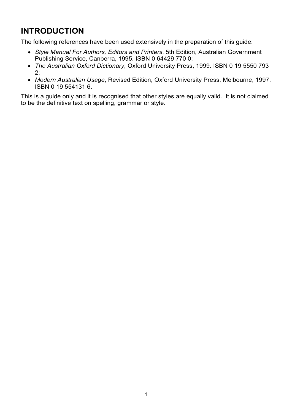# **INTRODUCTION**

The following references have been used extensively in the preparation of this guide:

- *Style Manual For Authors, Editors and Printers*, 5th Edition, Australian Government Publishing Service, Canberra, 1995. ISBN 0 64429 770 0;
- *The Australian Oxford Dictionary*, Oxford University Press, 1999. ISBN 0 19 5550 793 2;
- *Modern Australian Usage*, Revised Edition, Oxford University Press, Melbourne, 1997. ISBN 0 19 554131 6.

This is a guide only and it is recognised that other styles are equally valid. It is not claimed to be the definitive text on spelling, grammar or style.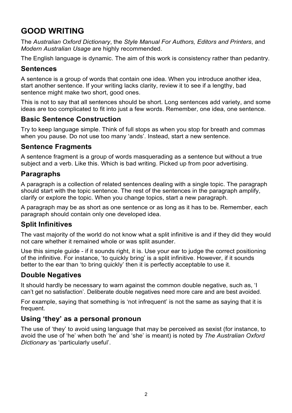# <span id="page-5-0"></span>**GOOD WRITING**

The *Australian Oxford Dictionary*, the *Style Manual For Authors, Editors and Printers*, and *Modern Australian Usage* are highly recommended.

The English language is dynamic. The aim of this work is consistency rather than pedantry.

#### **Sentences**

A sentence is a group of words that contain one idea. When you introduce another idea, start another sentence. If your writing lacks clarity, review it to see if a lengthy, bad sentence might make two short, good ones.

This is not to say that all sentences should be short. Long sentences add variety, and some ideas are too complicated to fit into just a few words. Remember, one idea, one sentence.

#### **Basic Sentence Construction**

Try to keep language simple. Think of full stops as when you stop for breath and commas when you pause. Do not use too many 'ands'. Instead, start a new sentence.

#### **Sentence Fragments**

A sentence fragment is a group of words masquerading as a sentence but without a true subject and a verb. Like this. Which is bad writing. Picked up from poor advertising.

#### **Paragraphs**

A paragraph is a collection of related sentences dealing with a single topic. The paragraph should start with the topic sentence. The rest of the sentences in the paragraph amplify, clarify or explore the topic. When you change topics, start a new paragraph.

A paragraph may be as short as one sentence or as long as it has to be. Remember, each paragraph should contain only one developed idea.

#### **Split Infinitives**

The vast majority of the world do not know what a split infinitive is and if they did they would not care whether it remained whole or was split asunder.

Use this simple quide - if it sounds right, it is. Use your ear to judge the correct positioning of the infinitive. For instance, 'to quickly bring' is a split infinitive. However, if it sounds better to the ear than 'to bring quickly' then it is perfectly acceptable to use it.

#### **Double Negatives**

It should hardly be necessary to warn against the common double negative, such as, 'I can't get no satisfaction'. Deliberate double negatives need more care and are best avoided.

For example, saying that something is 'not infrequent' is not the same as saying that it is frequent.

#### **Using 'they' as a personal pronoun**

The use of 'they' to avoid using language that may be perceived as sexist (for instance, to avoid the use of 'he' when both 'he' and 'she' is meant) is noted by *The Australian Oxford Dictionary* as 'particularly useful'.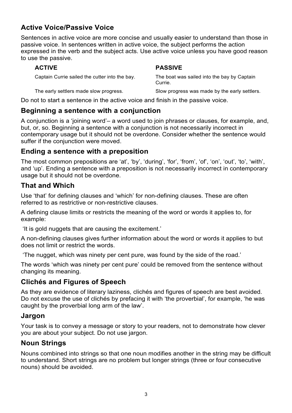#### <span id="page-6-0"></span>**Active Voice/Passive Voice**

Sentences in active voice are more concise and usually easier to understand than those in passive voice. In sentences written in active voice, the subject performs the action expressed in the verb and the subject acts. Use active voice unless you have good reason to use the passive.

**ACTIVE PASSIVE**

| Captain Currie sailed the cutter into the bay.<br>Currie. | The boat was sailed into the bay by Captain |
|-----------------------------------------------------------|---------------------------------------------|
|-----------------------------------------------------------|---------------------------------------------|

The early settlers made slow progress. Slow progress was made by the early settlers.

Do not to start a sentence in the active voice and finish in the passive voice.

#### **Beginning a sentence with a conjunction**

A conjunction is a 'joining word'– a word used to join phrases or clauses, for example, and, but, or, so. Beginning a sentence with a conjunction is not necessarily incorrect in contemporary usage but it should not be overdone. Consider whether the sentence would suffer if the conjunction were moved.

#### **Ending a sentence with a preposition**

The most common prepositions are 'at', 'by', 'during', 'for', 'from', 'of', 'on', 'out', 'to', 'with', and 'up'. Ending a sentence with a preposition is not necessarily incorrect in contemporary usage but it should not be overdone.

#### **That and Which**

Use 'that' for defining clauses and 'which' for non-defining clauses. These are often referred to as restrictive or non-restrictive clauses.

A defining clause limits or restricts the meaning of the word or words it applies to, for example:

'It is gold nuggets that are causing the excitement.'

A non-defining clauses gives further information about the word or words it applies to but does not limit or restrict the words.

'The nugget, which was ninety per cent pure, was found by the side of the road.'

The words 'which was ninety per cent pure' could be removed from the sentence without changing its meaning.

#### **Clichés and Figures of Speech**

As they are evidence of literary laziness, clichés and figures of speech are best avoided. Do not excuse the use of clichés by prefacing it with 'the proverbial', for example, 'he was caught by the proverbial long arm of the law'.

#### **Jargon**

Your task is to convey a message or story to your readers, not to demonstrate how clever you are about your subject. Do not use jargon.

#### **Noun Strings**

Nouns combined into strings so that one noun modifies another in the string may be difficult to understand. Short strings are no problem but longer strings (three or four consecutive nouns) should be avoided.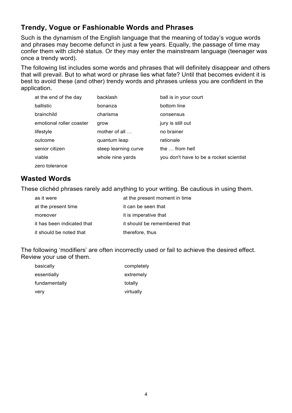#### <span id="page-7-0"></span>**Trendy, Vogue or Fashionable Words and Phrases**

Such is the dynamism of the English language that the meaning of today's vogue words and phrases may become defunct in just a few years. Equally, the passage of time may confer them with cliché status. Or they may enter the mainstream language (teenager was once a trendy word).

The following list includes some words and phrases that will definitely disappear and others that will prevail. But to what word or phrase lies what fate? Until that becomes evident it is best to avoid these (and other) trendy words and phrases unless you are confident in the application.

| at the end of the day    | backlash              | ball is in your court                   |
|--------------------------|-----------------------|-----------------------------------------|
| ballistic                | bonanza               | bottom line                             |
| brainchild               | charisma              | consensus                               |
| emotional roller coaster | grow                  | jury is still out                       |
| lifestyle                | mother of all $\dots$ | no brainer                              |
| outcome                  | quantum leap          | rationale                               |
| senior citizen           | steep learning curve  | the  from hell                          |
| viable                   | whole nine yards      | you don't have to be a rocket scientist |
| zero tolerance           |                       |                                         |

#### **Wasted Words**

These clichéd phrases rarely add anything to your writing. Be cautious in using them.

| as it were                 | at the present moment in time |
|----------------------------|-------------------------------|
| at the present time        | it can be seen that           |
| moreover                   | it is imperative that         |
| it has been indicated that | it should be remembered that  |
| it should be noted that    | therefore, thus               |

The following 'modifiers' are often incorrectly used or fail to achieve the desired effect. Review your use of them.

| basically     | completely |
|---------------|------------|
| essentially   | extremely  |
| fundamentally | totally    |
| very          | virtually  |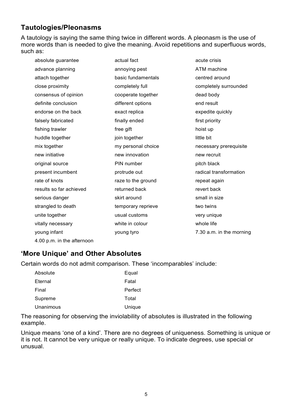#### <span id="page-8-0"></span>**Tautologies/Pleonasms**

A tautology is saying the same thing twice in different words. A pleonasm is the use of more words than is needed to give the meaning. Avoid repetitions and superfluous words, such as:

| absolute guarantee         | actual fact        | acute crisis             |
|----------------------------|--------------------|--------------------------|
| advance planning           | annoying pest      | ATM machine              |
| attach together            | basic fundamentals | centred around           |
| close proximity            | completely full    | completely surrounded    |
| consensus of opinion       | cooperate together | dead body                |
| definite conclusion        | different options  | end result               |
| endorse on the back        | exact replica      | expedite quickly         |
| falsely fabricated         | finally ended      | first priority           |
| fishing trawler            | free gift          | hoist up                 |
| huddle together            | join together      | little bit               |
| mix together               | my personal choice | necessary prerequisite   |
| new initiative             | new innovation     | new recruit              |
| original source            | PIN number         | pitch black              |
| present incumbent          | protrude out       | radical transformation   |
| rate of knots              | raze to the ground | repeat again             |
| results so far achieved    | returned back      | revert back              |
| serious danger             | skirt around       | small in size            |
| strangled to death         | temporary reprieve | two twins                |
| unite together             | usual customs      | very unique              |
| vitally necessary          | white in colour    | whole life               |
| young infant               | young tyro         | 7.30 a.m. in the morning |
| 4.00 p.m. in the afternoon |                    |                          |

### **'More Unique' and Other Absolutes**

Certain words do not admit comparison. These 'incomparables' include:

| Absolute  | Equal   |
|-----------|---------|
| Eternal   | Fatal   |
| Final     | Perfect |
| Supreme   | Total   |
| Unanimous | Unique  |

The reasoning for observing the inviolability of absolutes is illustrated in the following example.

Unique means 'one of a kind'. There are no degrees of uniqueness. Something is unique or it is not. It cannot be very unique or really unique. To indicate degrees, use special or unusual.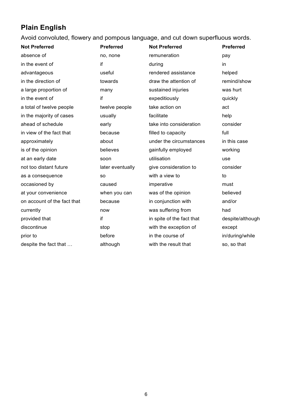# <span id="page-9-0"></span>**Plain English**

Avoid convoluted, flowery and pompous language, and cut down superfluous words.

| <b>Preferred</b> |
|------------------|
|                  |
|                  |
| helped           |
| remind/show      |
| was hurt         |
| quickly          |
|                  |
|                  |
| consider         |
|                  |
| in this case     |
| working          |
|                  |
| consider         |
|                  |
| must             |
| believed         |
| and/or           |
|                  |
| despite/although |
| except           |
| in/during/while  |
| so, so that      |
|                  |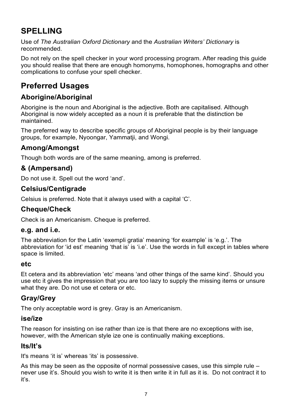# <span id="page-10-0"></span>**SPELLING**

Use of *The Australian Oxford Dictionary* and the *Australian Writers' Dictionary* is recommended.

Do not rely on the spell checker in your word processing program. After reading this guide you should realise that there are enough homonyms, homophones, homographs and other complications to confuse your spell checker.

# **Preferred Usages**

### **Aborigine/Aboriginal**

Aborigine is the noun and Aboriginal is the adjective. Both are capitalised. Although Aboriginal is now widely accepted as a noun it is preferable that the distinction be maintained.

The preferred way to describe specific groups of Aboriginal people is by their language groups, for example, Nyoongar, Yammatji, and Wongi.

#### **Among/Amongst**

Though both words are of the same meaning, among is preferred.

#### **& (Ampersand)**

Do not use it. Spell out the word 'and'.

#### **Celsius/Centigrade**

Celsius is preferred. Note that it always used with a capital 'C'.

#### **Cheque/Check**

Check is an Americanism. Cheque is preferred.

#### **e.g. and i.e.**

The abbreviation for the Latin 'exempli gratia' meaning 'for example' is 'e.g.'. The abbreviation for 'id est' meaning 'that is' is 'i.e'. Use the words in full except in tables where space is limited.

#### **etc**

Et cetera and its abbreviation 'etc' means 'and other things of the same kind'. Should you use etc it gives the impression that you are too lazy to supply the missing items or unsure what they are. Do not use et cetera or etc.

#### **Gray/Grey**

The only acceptable word is grey. Gray is an Americanism.

#### **ise/ize**

The reason for insisting on ise rather than ize is that there are no exceptions with ise, however, with the American style ize one is continually making exceptions.

#### **Its/It's**

It's means 'it is' whereas 'its' is possessive.

As this may be seen as the opposite of normal possessive cases, use this simple rule – never use it's. Should you wish to write it is then write it in full as it is. Do not contract it to it's.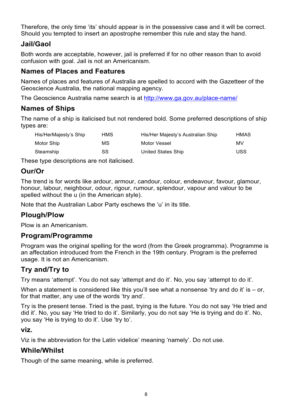<span id="page-11-0"></span>Therefore, the only time 'its' should appear is in the possessive case and it will be correct. Should you tempted to insert an apostrophe remember this rule and stay the hand.

#### **Jail/Gaol**

Both words are acceptable, however, jail is preferred if for no other reason than to avoid confusion with goal. Jail is not an Americanism.

#### **Names of Places and Features**

Names of places and features of Australia are spelled to accord with the Gazetteer of the Geoscience Australia, the national mapping agency.

The Geoscience Australia name search is at<http://www.ga.gov.au/place-name/>

#### **Names of Ships**

The name of a ship is italicised but not rendered bold. Some preferred descriptions of ship types are:

| His/HerMajesty's Ship | HMS | His/Her Majesty's Australian Ship | <b>HMAS</b> |
|-----------------------|-----|-----------------------------------|-------------|
| Motor Ship            | МS  | Motor Vessel                      | МV          |
| Steamship             | SS. | United States Ship                | USS         |

These type descriptions are not italicised.

#### **Our/Or**

The trend is for words like ardour, armour, candour, colour, endeavour, favour, glamour, honour, labour, neighbour, odour, rigour, rumour, splendour, vapour and valour to be spelled without the u (in the American style).

Note that the Australian Labor Party eschews the 'u' in its title.

#### **Plough/Plow**

Plow is an Americanism.

#### **Program/Programme**

Program was the original spelling for the word (from the Greek programma). Programme is an affectation introduced from the French in the 19th century. Program is the preferred usage. It is not an Americanism.

#### **Try and/Try to**

Try means 'attempt'. You do not say 'attempt and do it'. No, you say 'attempt to do it'.

When a statement is considered like this you'll see what a nonsense 'try and do it' is  $-$  or, for that matter, any use of the words 'try and'.

Try is the present tense. Tried is the past, trying is the future. You do not say 'He tried and did it'. No, you say 'He tried to do it'. Similarly, you do not say 'He is trying and do it'. No, you say 'He is trying to do it'. Use 'try to'.

#### **viz.**

Viz is the abbreviation for the Latin videlice' meaning 'namely'. Do not use.

#### **While/Whilst**

Though of the same meaning, while is preferred.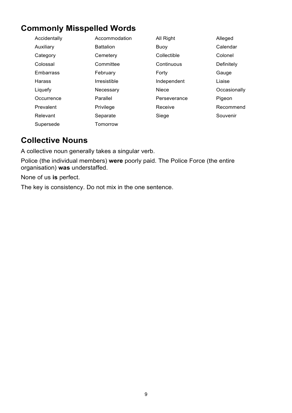# <span id="page-12-0"></span>**Commonly Misspelled Words**

| Accidentally  | Accommodation       | All Right    | Alleged      |
|---------------|---------------------|--------------|--------------|
| Auxiliary     | <b>Battalion</b>    | Buoy         | Calendar     |
| Category      | Cemetery            | Collectible  | Colonel      |
| Colossal      | Committee           | Continuous   | Definitely   |
| Embarrass     | February            | Forty        | Gauge        |
| <b>Harass</b> | <b>Irresistible</b> | Independent  | Liaise       |
| Liquefy       | Necessary           | Niece        | Occasionally |
| Occurrence    | Parallel            | Perseverance | Pigeon       |
| Prevalent     | Privilege           | Receive      | Recommend    |
| Relevant      | Separate            | Siege        | Souvenir     |
| Supersede     | Tomorrow            |              |              |

# **Collective Nouns**

A collective noun generally takes a singular verb.

Police (the individual members) **were** poorly paid. The Police Force (the entire organisation) **was** understaffed.

None of us **is** perfect.

The key is consistency. Do not mix in the one sentence.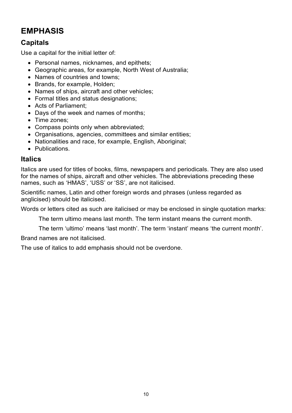# <span id="page-13-0"></span>**EMPHASIS**

#### **Capitals**

Use a capital for the initial letter of:

- Personal names, nicknames, and epithets;
- Geographic areas, for example, North West of Australia;
- Names of countries and towns;
- Brands, for example, Holden;
- Names of ships, aircraft and other vehicles;
- Formal titles and status designations;
- Acts of Parliament;
- Days of the week and names of months;
- Time zones;
- Compass points only when abbreviated;
- Organisations, agencies, committees and similar entities;
- Nationalities and race, for example, English, Aboriginal;
- Publications.

#### **Italics**

Italics are used for titles of books, films, newspapers and periodicals. They are also used for the names of ships, aircraft and other vehicles. The abbreviations preceding these names, such as 'HMAS', 'USS' or 'SS', are not italicised.

Scientific names, Latin and other foreign words and phrases (unless regarded as anglicised) should be italicised.

Words or letters cited as such are italicised or may be enclosed in single quotation marks:

The term ultimo means last month. The term instant means the current month.

The term 'ultimo' means 'last month'. The term 'instant' means 'the current month'.

Brand names are not italicised.

The use of italics to add emphasis should not be overdone.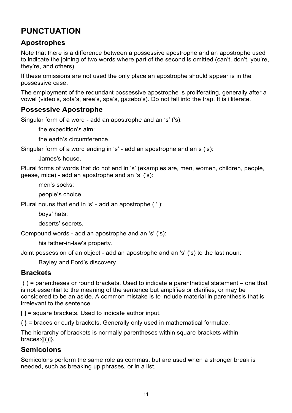# <span id="page-14-0"></span>**PUNCTUATION**

#### **Apostrophes**

Note that there is a difference between a possessive apostrophe and an apostrophe used to indicate the joining of two words where part of the second is omitted (can't, don't, you're, they're, and others).

If these omissions are not used the only place an apostrophe should appear is in the possessive case.

The employment of the redundant possessive apostrophe is proliferating, generally after a vowel (video's, sofa's, area's, spa's, gazebo's). Do not fall into the trap. It is illiterate.

#### **Possessive Apostrophe**

Singular form of a word - add an apostrophe and an 's' ('s):

the expedition's aim;

the earth's circumference.

Singular form of a word ending in 's' - add an apostrophe and an s ('s):

James's house.

Plural forms of words that do not end in 's' (examples are, men, women, children, people, geese, mice) - add an apostrophe and an 's' ('s):

men's socks;

people's choice.

Plural nouns that end in 's' - add an apostrophe ( ' ):

boys' hats;

deserts' secrets.

Compound words - add an apostrophe and an 's' ('s):

his father-in-law's property.

Joint possession of an object - add an apostrophe and an 's' ('s) to the last noun:

Bayley and Ford's discovery.

#### **Brackets**

 ( ) = parentheses or round brackets. Used to indicate a parenthetical statement – one that is not essential to the meaning of the sentence but amplifies or clarifies, or may be considered to be an aside. A common mistake is to include material in parenthesis that is irrelevant to the sentence.

 $| \cdot |$  = square brackets. Used to indicate author input.

 $\{\}$  = braces or curly brackets. Generally only used in mathematical formulae.

The hierarchy of brackets is normally parentheses within square brackets within braces: $\{[(1)]\}$ .

#### **Semicolons**

Semicolons perform the same role as commas, but are used when a stronger break is needed, such as breaking up phrases, or in a list.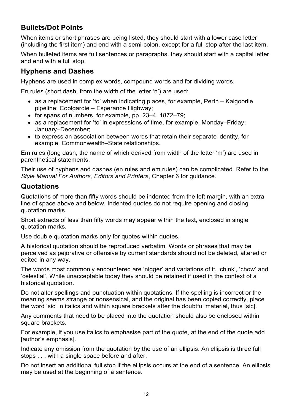### <span id="page-15-0"></span>**Bullets/Dot Points**

When items or short phrases are being listed, they should start with a lower case letter (including the first item) and end with a semi-colon, except for a full stop after the last item.

When bulleted items are full sentences or paragraphs, they should start with a capital letter and end with a full stop.

#### **Hyphens and Dashes**

Hyphens are used in complex words, compound words and for dividing words.

En rules (short dash, from the width of the letter 'n') are used:

- as a replacement for 'to' when indicating places, for example, Perth Kalgoorlie pipeline; Coolgardie – Esperance Highway;
- for spans of numbers, for example, pp. 23–4, 1872–79;
- as a replacement for 'to' in expressions of time, for example, Monday–Friday; January–December;
- to express an association between words that retain their separate identity, for example, Commonwealth–State relationships.

Em rules (long dash, the name of which derived from width of the letter 'm') are used in parenthetical statements.

Their use of hyphens and dashes (en rules and em rules) can be complicated. Refer to the *Style Manual For Authors, Editors and Printers*, Chapter 6 for guidance.

#### **Quotations**

Quotations of more than fifty words should be indented from the left margin, with an extra line of space above and below. Indented quotes do not require opening and closing quotation marks.

Short extracts of less than fifty words may appear within the text, enclosed in single quotation marks.

Use double quotation marks only for quotes within quotes.

A historical quotation should be reproduced verbatim. Words or phrases that may be perceived as pejorative or offensive by current standards should not be deleted, altered or edited in any way.

The words most commonly encountered are 'nigger' and variations of it, 'chink', 'chow' and 'celestial'. While unacceptable today they should be retained if used in the context of a historical quotation.

Do not alter spellings and punctuation within quotations. If the spelling is incorrect or the meaning seems strange or nonsensical, and the original has been copied correctly, place the word 'sic' in italics and within square brackets after the doubtful material, thus [sic].

Any comments that need to be placed into the quotation should also be enclosed within square brackets.

For example, if you use italics to emphasise part of the quote, at the end of the quote add [author's emphasis].

Indicate any omission from the quotation by the use of an ellipsis. An ellipsis is three full stops . . . with a single space before and after.

Do not insert an additional full stop if the ellipsis occurs at the end of a sentence. An ellipsis may be used at the beginning of a sentence.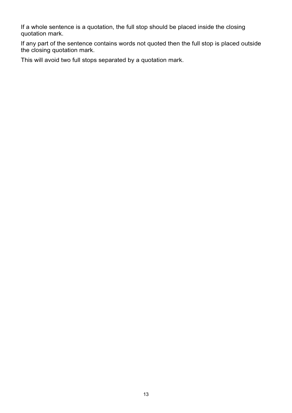If a whole sentence is a quotation, the full stop should be placed inside the closing quotation mark.

If any part of the sentence contains words not quoted then the full stop is placed outside the closing quotation mark.

This will avoid two full stops separated by a quotation mark.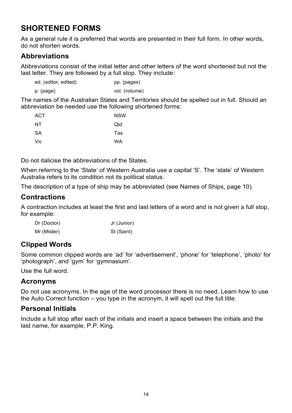# <span id="page-17-0"></span>**SHORTENED FORMS**

As a general rule it is preferred that words are presented in their full form. In other words, do not shorten words.

#### **Abbreviations**

Abbreviations consist of the initial letter and other letters of the word shortened but not the last letter. They are followed by a full stop. They include:

| ed. (editor, edited)     | pp. (pages)    |
|--------------------------|----------------|
| $\overline{\phantom{a}}$ | $\blacksquare$ |

p. (page) vol. (volume)

The names of the Australian States and Territories should be spelled out in full. Should an abbreviation be needed use the following shortened forms:

| <b>ACT</b> | <b>NSW</b> |
|------------|------------|
| NT.        | Qld        |
| <b>SA</b>  | Tas        |
| Vic        | WA         |

Do not italicise the abbreviations of the States.

When referring to the 'State' of Western Australia use a capital 'S'. The 'state' of Western Australia refers to its condition not its political status.

The description of a type of ship may be abbreviated (see Names of Ships, page 10).

#### **Contractions**

A contraction includes at least the first and last letters of a word and is not given a full stop, for example:

| Dr (Doctor) | Jr (Junior) |
|-------------|-------------|
| Mr (Mister) | St (Saint)  |

#### **Clipped Words**

Some common clipped words are 'ad' for 'advertisement', 'phone' for 'telephone', 'photo' for 'photograph', and 'gym' for 'gymnasium'.

Use the full word.

#### **Acronyms**

Do not use acronyms. In the age of the word processor there is no need. Learn how to use the Auto Correct function – you type in the acronym, it will spell out the full title.

#### **Personal Initials**

Include a full stop after each of the initials and insert a space between the initials and the last name, for example, P.P. King.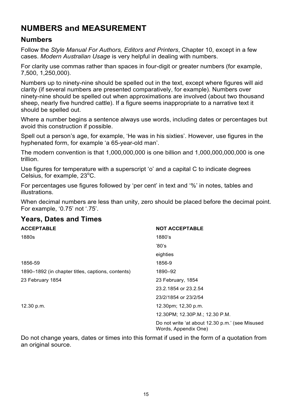# <span id="page-18-0"></span>**NUMBERS and MEASUREMENT**

#### **Numbers**

Follow the *Style Manual For Authors, Editors and Printers*, Chapter 10, except in a few cases. *Modern Australian Usage* is very helpful in dealing with numbers.

For clarity use commas rather than spaces in four-digit or greater numbers (for example, 7,500, 1,250,000).

Numbers up to ninety-nine should be spelled out in the text, except where figures will aid clarity (if several numbers are presented comparatively, for example). Numbers over ninety-nine should be spelled out when approximations are involved (about two thousand sheep, nearly five hundred cattle). If a figure seems inappropriate to a narrative text it should be spelled out.

Where a number begins a sentence always use words, including dates or percentages but avoid this construction if possible.

Spell out a person's age, for example, 'He was in his sixties'. However, use figures in the hyphenated form, for example 'a 65-year-old man'.

The modern convention is that 1,000,000,000 is one billion and 1,000,000,000,000 is one trillion.

Use figures for temperature with a superscript 'o' and a capital C to indicate degrees Celsius, for example,  $23^{\circ}$ C.

For percentages use figures followed by 'per cent' in text and '%' in notes, tables and illustrations.

When decimal numbers are less than unity, zero should be placed before the decimal point. For example, '0.75' not '.75'.

#### **Years, Dates and Times**

| ACCEPTABLE                                        | <b>NOT ACCEPTABLE</b>                                                   |
|---------------------------------------------------|-------------------------------------------------------------------------|
| 1880s                                             | 1880's                                                                  |
|                                                   | '80's                                                                   |
|                                                   | eighties                                                                |
| 1856-59                                           | 1856-9                                                                  |
| 1890–1892 (in chapter titles, captions, contents) | 1890-92                                                                 |
| 23 February 1854                                  | 23 February, 1854                                                       |
|                                                   | 23.2.1854 or 23.2.54                                                    |
|                                                   | 23/2/1854 or 23/2/54                                                    |
| 12.30 p.m.                                        | 12.30pm; 12,30 p.m.                                                     |
|                                                   | 12.30PM; 12.30P.M.; 12.30 P.M.                                          |
|                                                   | Do not write 'at about 12.30 p.m.' (see Misused<br>Words, Appendix One) |

Do not change years, dates or times into this format if used in the form of a quotation from an original source.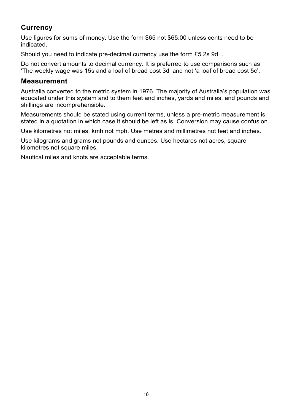#### <span id="page-19-0"></span>**Currency**

Use figures for sums of money. Use the form \$65 not \$65.00 unless cents need to be indicated.

Should you need to indicate pre-decimal currency use the form £5 2s 9d. .

Do not convert amounts to decimal currency. It is preferred to use comparisons such as 'The weekly wage was 15s and a loaf of bread cost 3d' and not 'a loaf of bread cost 5c'.

#### **Measurement**

Australia converted to the metric system in 1976. The majority of Australia's population was educated under this system and to them feet and inches, yards and miles, and pounds and shillings are incomprehensible.

Measurements should be stated using current terms, unless a pre-metric measurement is stated in a quotation in which case it should be left as is. Conversion may cause confusion.

Use kilometres not miles, kmh not mph. Use metres and millimetres not feet and inches.

Use kilograms and grams not pounds and ounces. Use hectares not acres, square kilometres not square miles.

Nautical miles and knots are acceptable terms.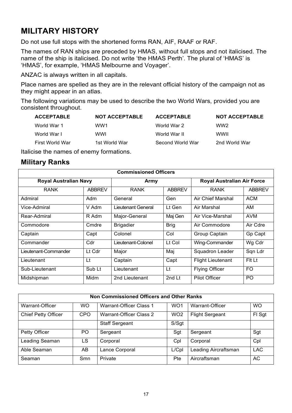# <span id="page-20-0"></span>**MILITARY HISTORY**

Do not use full stops with the shortened forms RAN, AIF, RAAF or RAF.

The names of RAN ships are preceded by HMAS, without full stops and not italicised. The name of the ship is italicised. Do not write 'the HMAS Perth'. The plural of 'HMAS' is 'HMAS', for example, 'HMAS Melbourne and Voyager'.

ANZAC is always written in all capitals.

Place names are spelled as they are in the relevant official history of the campaign not as they might appear in an atlas.

The following variations may be used to describe the two World Wars, provided you are consistent throughout.

| <b>ACCEPTABLE</b> | <b>NOT ACCEPTABLE</b> | <b>ACCEPTABLE</b> | <b>NOT ACCEPTABLE</b> |
|-------------------|-----------------------|-------------------|-----------------------|
| World War 1       | WW1                   | World War 2       | WW <sub>2</sub>       |
| World War I       | wwi                   | World War II      | <b>WWII</b>           |
| First World War   | 1st World War         | Second World War  | 2nd World War         |

Italicise the names of enemy formations.

#### **Military Ranks**

| <b>Commissioned Officers</b> |               |                    |               |                                   |               |
|------------------------------|---------------|--------------------|---------------|-----------------------------------|---------------|
| <b>Royal Australian Navy</b> |               | Army               |               | <b>Royal Australian Air Force</b> |               |
| <b>RANK</b>                  | <b>ABBREV</b> | <b>RANK</b>        | <b>ABBREV</b> | <b>RANK</b>                       | <b>ABBREV</b> |
| Admiral                      | Adm           | General            | Gen           | Air Chief Marshal                 | <b>ACM</b>    |
| Vice-Admiral                 | V Adm         | Lieutenant General | Lt Gen        | Air Marshal                       | AM            |
| Rear-Admiral                 | R Adm         | Major-General      | Maj Gen       | Air Vice-Marshal                  | AVM           |
| Commodore                    | Cmdre         | <b>Brigadier</b>   | <b>Brig</b>   | Air Commodore                     | Air Cdre      |
| Captain                      | Capt          | Colonel            | Col           | Group Captain                     | Gp Capt       |
| Commander                    | Cdr           | Lieutenant-Colonel | Lt Col        | Wing-Commander                    | Wg Cdr        |
| Lieutenant-Commander         | Lt Cdr        | Major              | Maj           | Squadron Leader                   | Sqn Ldr       |
| Lieutenant                   | Lt            | Captain            | Capt          | <b>Flight Lieutenant</b>          | Fit Lt        |
| Sub-Lieutenant               | Sub Lt        | Lieutenant         | Lt            | <b>Flying Officer</b>             | FO            |
| Midshipman                   | Midm          | 2nd Lieutenant     | 2nd Lt        | Pilot Officer                     | PO.           |

| Non Commissioned Officers and Other Ranks |           |                         |                 |                        |            |
|-------------------------------------------|-----------|-------------------------|-----------------|------------------------|------------|
| Warrant-Officer                           | <b>WO</b> | Warrant-Officer Class 1 | WO <sub>1</sub> | Warrant-Officer        | <b>WO</b>  |
| <b>Chief Petty Officer</b>                | CPO       | Warrant-Officer Class 2 | WO <sub>2</sub> | <b>Flight Sergeant</b> | FI Sgt     |
|                                           |           | <b>Staff Sergeant</b>   | S/Sgt           |                        |            |
| <b>Petty Officer</b>                      | PO.       | Sergeant                | Sgt             | Sergeant               | Sgt        |
| Leading Seaman                            | LS.       | Corporal                | Cpl             | Corporal               | Cpl        |
| Able Seaman                               | AB.       | Lance Corporal          | L/Cpl           | Leading Aircraftsman   | <b>LAC</b> |
| Seaman                                    | Smn       | Private                 | Pte             | Aircraftsman           | AC         |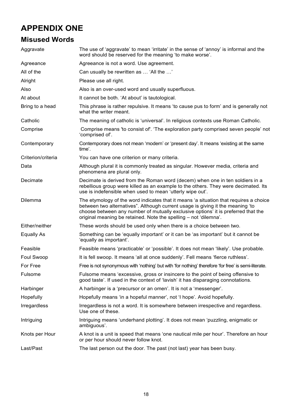# <span id="page-21-0"></span>**APPENDIX ONE**

# **Misused Words**

| Aggravate          | The use of 'aggravate' to mean 'irritate' in the sense of 'annoy' is informal and the<br>word should be reserved for the meaning 'to make worse'.                                                                                                                                                                                |
|--------------------|----------------------------------------------------------------------------------------------------------------------------------------------------------------------------------------------------------------------------------------------------------------------------------------------------------------------------------|
| Agreeance          | Agreeance is not a word. Use agreement.                                                                                                                                                                                                                                                                                          |
| All of the         | Can usually be rewritten as  'All the '                                                                                                                                                                                                                                                                                          |
| Alright            | Please use all right.                                                                                                                                                                                                                                                                                                            |
| Also               | Also is an over-used word and usually superfluous.                                                                                                                                                                                                                                                                               |
| At about           | It cannot be both. 'At about' is tautological.                                                                                                                                                                                                                                                                                   |
| Bring to a head    | This phrase is rather repulsive. It means 'to cause pus to form' and is generally not<br>what the writer meant.                                                                                                                                                                                                                  |
| Catholic           | The meaning of catholic is 'universal'. In religious contexts use Roman Catholic.                                                                                                                                                                                                                                                |
| Comprise           | Comprise means 'to consist of'. 'The exploration party comprised seven people' not<br>'comprised of'.                                                                                                                                                                                                                            |
| Contemporary       | Contemporary does not mean 'modern' or 'present day'. It means 'existing at the same<br>time'.                                                                                                                                                                                                                                   |
| Criterion/criteria | You can have one criterion or many criteria.                                                                                                                                                                                                                                                                                     |
| Data               | Although plural it is commonly treated as singular. However media, criteria and<br>phenomena are plural only.                                                                                                                                                                                                                    |
| Decimate           | Decimate is derived from the Roman word (decem) when one in ten soldiers in a<br>rebellious group were killed as an example to the others. They were decimated. Its<br>use is indefensible when used to mean 'utterly wipe out'.                                                                                                 |
| Dilemma            | The etymology of the word indicates that it means 'a situation that requires a choice<br>between two alternatives". Although current usage is giving it the meaning 'to<br>choose between any number of mutually exclusive options' it is preferred that the<br>original meaning be retained. Note the spelling - not 'dilemna'. |
| Either/neither     | These words should be used only when there is a choice between two.                                                                                                                                                                                                                                                              |
| <b>Equally As</b>  | Something can be 'equally important' or it can be 'as important' but it cannot be<br>'equally as important'.                                                                                                                                                                                                                     |
| Feasible           | Feasible means 'practicable' or 'possible'. It does not mean 'likely'. Use probable.                                                                                                                                                                                                                                             |
| Foul Swoop         | It is fell swoop. It means 'all at once suddenly'. Fell means 'fierce ruthless'.                                                                                                                                                                                                                                                 |
| For Free           | Free is not synonymous with 'nothing' but with 'for nothing' therefore 'for free' is semi-literate.                                                                                                                                                                                                                              |
| Fulsome            | Fulsome means 'excessive, gross or insincere to the point of being offensive to<br>good taste'. If used in the context of 'lavish' it has disparaging connotations.                                                                                                                                                              |
| Harbinger          | A harbinger is a 'precursor or an omen'. It is not a 'messenger'.                                                                                                                                                                                                                                                                |
| Hopefully          | Hopefully means 'in a hopeful manner', not 'I hope'. Avoid hopefully.                                                                                                                                                                                                                                                            |
| Irregardless       | Irregardless is not a word. It is somewhere between irrespective and regardless.<br>Use one of these.                                                                                                                                                                                                                            |
| Intriguing         | Intriguing means 'underhand plotting'. It does not mean 'puzzling, enigmatic or<br>ambiguous'.                                                                                                                                                                                                                                   |
| Knots per Hour     | A knot is a unit is speed that means 'one nautical mile per hour'. Therefore an hour<br>or per hour should never follow knot.                                                                                                                                                                                                    |
| Last/Past          | The last person out the door. The past (not last) year has been busy.                                                                                                                                                                                                                                                            |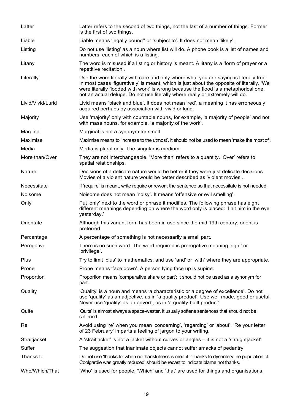| Latter            | Latter refers to the second of two things, not the last of a number of things. Former<br>is the first of two things.                                                                                                                                                                                                                                        |
|-------------------|-------------------------------------------------------------------------------------------------------------------------------------------------------------------------------------------------------------------------------------------------------------------------------------------------------------------------------------------------------------|
| Liable            | Liable means 'legally bound" or 'subject to'. It does not mean 'likely'.                                                                                                                                                                                                                                                                                    |
| Listing           | Do not use 'listing' as a noun where list will do. A phone book is a list of names and<br>numbers, each of which is a listing.                                                                                                                                                                                                                              |
| Litany            | The word is misused if a listing or history is meant. A litany is a 'form of prayer or a<br>repetitive recitation'.                                                                                                                                                                                                                                         |
| Literally         | Use the word literally with care and only where what you are saying is literally true.<br>In most cases 'figuratively' is meant, which is just about the opposite of literally. 'We<br>were literally flooded with work' is wrong because the flood is a metaphorical one,<br>not an actual deluge. Do not use literally where really or extremely will do. |
| Livid/Vivid/Lurid | Livid means 'black and blue'. It does not mean 'red', a meaning it has erroneously<br>acquired perhaps by association with vivid or lurid.                                                                                                                                                                                                                  |
| Majority          | Use 'majority' only with countable nouns, for example, 'a majority of people' and not<br>with mass nouns, for example, 'a majority of the work'.                                                                                                                                                                                                            |
| Marginal          | Marginal is not a synonym for small.                                                                                                                                                                                                                                                                                                                        |
| Maximise          | Maximise means to 'increase to the utmost'. It should not be used to mean 'make the most of.                                                                                                                                                                                                                                                                |
| Media             | Media is plural only. The singular is medium.                                                                                                                                                                                                                                                                                                               |
| More than/Over    | They are not interchangeable. 'More than' refers to a quantity. 'Over' refers to<br>spatial relationships.                                                                                                                                                                                                                                                  |
| <b>Nature</b>     | Decisions of a delicate nature would be better if they were just delicate decisions.<br>Movies of a violent nature would be better described as 'violent movies'.                                                                                                                                                                                           |
| Necessitate       | If 'require' is meant, write require or rework the sentence so that necessitate is not needed.                                                                                                                                                                                                                                                              |
| Noisome           | Noisome does not mean 'noisy'. It means 'offensive or evil smelling'.                                                                                                                                                                                                                                                                                       |
| Only              | Put 'only' next to the word or phrase it modifies. The following phrase has eight<br>different meanings depending on where the word only is placed: 'I hit him in the eye<br>yesterday.'                                                                                                                                                                    |
| Orientate         | Although this variant form has been in use since the mid 19th century, orient is<br>preferred.                                                                                                                                                                                                                                                              |
| Percentage        | A percentage of something is not necessarily a small part.                                                                                                                                                                                                                                                                                                  |
| Perogative        | There is no such word. The word required is prerogative meaning 'right' or<br>'privilege'.                                                                                                                                                                                                                                                                  |
| Plus              | Try to limit 'plus' to mathematics, and use 'and' or 'with' where they are appropriate.                                                                                                                                                                                                                                                                     |
| Prone             | Prone means 'face down'. A person lying face up is supine.                                                                                                                                                                                                                                                                                                  |
| Proportion        | Proportion means 'comparative share or part'; it should not be used as a synonym for<br>part.                                                                                                                                                                                                                                                               |
| Quality           | 'Quality' is a noun and means 'a characteristic or a degree of excellence'. Do not<br>use 'quality' as an adjective, as in 'a quality product'. Use well made, good or useful.<br>Never use 'quality' as an adverb, as in 'a quality-built product'.                                                                                                        |
| Quite             | 'Quite' is almost always a space-waster. It usually softens sentences that should not be<br>softened.                                                                                                                                                                                                                                                       |
| Re                | Avoid using 're' when you mean 'concerning', 'regarding' or 'about'. 'Re your letter<br>of 23 February' imparts a feeling of jargon to your writing.                                                                                                                                                                                                        |
| Straitjacket      | A 'straitjacket' is not a jacket without curves or angles – it is not a 'straightjacket'.                                                                                                                                                                                                                                                                   |
| Suffer            | The suggestion that inanimate objects cannot suffer smacks of pedantry.                                                                                                                                                                                                                                                                                     |
| Thanks to         | Do not use 'thanks to' when no thankfulness is meant. 'Thanks to dysentery the population of<br>Coolgardie was greatly reduced' should be recast to indicate blame not thanks.                                                                                                                                                                              |
| Who/Which/That    | 'Who' is used for people. 'Which' and 'that' are used for things and organisations.                                                                                                                                                                                                                                                                         |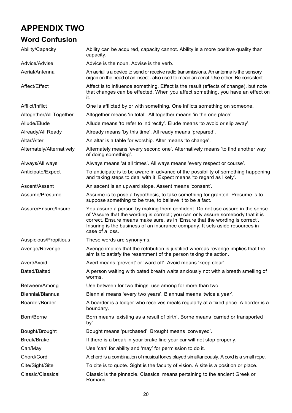# <span id="page-23-0"></span>**APPENDIX TWO**

## **Word Confusion**

| Ability/Capacity          | Ability can be acquired, capacity cannot. Ability is a more positive quality than<br>capacity.                                                                                                                                                                                                                                                      |
|---------------------------|-----------------------------------------------------------------------------------------------------------------------------------------------------------------------------------------------------------------------------------------------------------------------------------------------------------------------------------------------------|
| Advice/Advise             | Advice is the noun. Advise is the verb.                                                                                                                                                                                                                                                                                                             |
| Aerial/Antenna            | An aerial is a device to send or receive radio transmissions. An antenna is the sensory<br>organ on the head of an insect - also used to mean an aerial. Use either. Be consistent.                                                                                                                                                                 |
| Affect/Effect             | Affect is to influence something. Effect is the result (effects of change), but note<br>that changes can be effected. When you affect something, you have an effect on<br>it.                                                                                                                                                                       |
| Afflict/Inflict           | One is afflicted by or with something. One inflicts something on someone.                                                                                                                                                                                                                                                                           |
| Altogether/All Together   | Altogether means 'in total'. All together means 'in the one place'.                                                                                                                                                                                                                                                                                 |
| Allude/Elude              | Allude means 'to refer to indirectly'. Elude means 'to avoid or slip away'.                                                                                                                                                                                                                                                                         |
| Already/All Ready         | Already means 'by this time'. All ready means 'prepared'.                                                                                                                                                                                                                                                                                           |
| Altar/Alter               | An altar is a table for worship. Alter means 'to change'.                                                                                                                                                                                                                                                                                           |
| Alternately/Alternatively | Alternately means 'every second one'. Alternatively means 'to find another way<br>of doing something'.                                                                                                                                                                                                                                              |
| Always/All ways           | Always means 'at all times'. All ways means 'every respect or course'.                                                                                                                                                                                                                                                                              |
| Anticipate/Expect         | To anticipate is to be aware in advance of the possibility of something happening<br>and taking steps to deal with it. Expect means 'to regard as likely'.                                                                                                                                                                                          |
| Ascent/Assent             | An ascent is an upward slope. Assent means 'consent'.                                                                                                                                                                                                                                                                                               |
| Assume/Presume            | Assume is to pose a hypothesis, to take something for granted. Presume is to<br>suppose something to be true, to believe it to be a fact.                                                                                                                                                                                                           |
| Assure/Ensure/Insure      | You assure a person by making them confident. Do not use assure in the sense<br>of 'Assure that the wording is correct'; you can only assure somebody that it is<br>correct. Ensure means make sure, as in 'Ensure that the wording is correct'.<br>Insuring is the business of an insurance company. It sets aside resources in<br>case of a loss. |
| Auspicious/Propitious     | These words are synonyms.                                                                                                                                                                                                                                                                                                                           |
| Avenge/Revenge            | Avenge implies that the retribution is justified whereas revenge implies that the<br>aim is to satisfy the resentment of the person taking the action.                                                                                                                                                                                              |
| Avert/Avoid               | Avert means 'prevent' or 'ward off'. Avoid means 'keep clear'.                                                                                                                                                                                                                                                                                      |
| Bated/Baited              | A person waiting with bated breath waits anxiously not with a breath smelling of<br>worms.                                                                                                                                                                                                                                                          |
| Between/Among             | Use between for two things, use among for more than two.                                                                                                                                                                                                                                                                                            |
| Biennial/Biannual         | Biennial means 'every two years'. Biannual means 'twice a year'.                                                                                                                                                                                                                                                                                    |
| Boarder/Border            | A boarder is a lodger who receives meals regularly at a fixed price. A border is a<br>boundary.                                                                                                                                                                                                                                                     |
| Born/Borne                | Born means 'existing as a result of birth'. Borne means 'carried or transported<br>by'.                                                                                                                                                                                                                                                             |
| Bought/Brought            | Bought means 'purchased'. Brought means 'conveyed'.                                                                                                                                                                                                                                                                                                 |
| Break/Brake               | If there is a break in your brake line your car will not stop properly.                                                                                                                                                                                                                                                                             |
| Can/May                   | Use 'can' for ability and 'may' for permission to do it.                                                                                                                                                                                                                                                                                            |
| Chord/Cord                | A chord is a combination of musical tones played simultaneously. A cord is a small rope.                                                                                                                                                                                                                                                            |
| Cite/Sight/Site           | To cite is to quote. Sight is the faculty of vision. A site is a position or place.                                                                                                                                                                                                                                                                 |
| Classic/Classical         | Classic is the pinnacle. Classical means pertaining to the ancient Greek or<br>Romans.                                                                                                                                                                                                                                                              |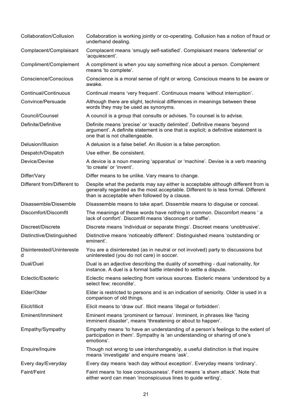| Collaboration/Collusion        | Collaboration is working jointly or co-operating. Collusion has a notion of fraud or<br>underhand dealing.                                                                                                             |
|--------------------------------|------------------------------------------------------------------------------------------------------------------------------------------------------------------------------------------------------------------------|
| Complacent/Complaisant         | Complacent means 'smugly self-satisfied'. Complaisant means 'deferential' or<br>'acquiescent'.                                                                                                                         |
| Compliment/Complement          | A compliment is when you say something nice about a person. Complement<br>means 'to complete'.                                                                                                                         |
| Conscience/Conscious           | Conscience is a moral sense of right or wrong. Conscious means to be aware or<br>awake.                                                                                                                                |
| Continual/Continuous           | Continual means 'very frequent'. Continuous means 'without interruption'.                                                                                                                                              |
| Convince/Persuade              | Although there are slight, technical differences in meanings between these<br>words they may be used as synonyms.                                                                                                      |
| Council/Counsel                | A council is a group that consults or advises. To counsel is to advise.                                                                                                                                                |
| Definite/Definitive            | Definite means 'precise' or 'exactly delimited'. Definitive means 'beyond<br>argument'. A definite statement is one that is explicit; a definitive statement is<br>one that is not challengeable.                      |
| Delusion/Illusion              | A delusion is a false belief. An illusion is a false perception.                                                                                                                                                       |
| Despatch/Dispatch              | Use either. Be consistent.                                                                                                                                                                                             |
| Device/Devise                  | A device is a noun meaning 'apparatus' or 'machine'. Devise is a verb meaning<br>'to create' or 'invent'.                                                                                                              |
| Differ/Vary                    | Differ means to be unlike. Vary means to change.                                                                                                                                                                       |
| Different from/Different to    | Despite what the pedants may say either is acceptable although different from is<br>generally regarded as the most acceptable. Different to is less formal. Different<br>than is acceptable when followed by a clause. |
| Disassemble/Dissemble          | Disassemble means to take apart. Dissemble means to disguise or conceal.                                                                                                                                               |
| Discomfort/Discomfit           | The meanings of these words have nothing in common. Discomfort means 'a<br>lack of comfort'. Discomfit means 'disconcert or baffle'.                                                                                   |
| Discreet/Discrete              | Discrete means 'individual or separate things'. Discreet means 'unobtrusive'.                                                                                                                                          |
| Distinctive/Distinguished      | Distinctive means 'noticeably different'. Distinguished means 'outstanding or<br>eminent'.                                                                                                                             |
| Disinterested/Unintereste<br>d | You are a disinterested (as in neutral or not involved) party to discussions but<br>uninterested (you do not care) in soccer.                                                                                          |
| Dual/Duel                      | Dual is an adjective describing the duality of something - dual nationality, for<br>instance. A duel is a formal battle intended to settle a dispute.                                                                  |
| Eclectic/Esoteric              | Eclectic means selecting from various sources. Esoteric means 'understood by a<br>select few; recondite'.                                                                                                              |
| Elder/Older                    | Elder is restricted to persons and is an indication of seniority. Older is used in a<br>comparison of old things.                                                                                                      |
| Elicit/Illicit                 | Elicit means to 'draw out'. Illicit means 'illegal or forbidden'.                                                                                                                                                      |
| Eminent/Imminent               | Eminent means 'prominent or famous'. Imminent, in phrases like 'facing<br>imminent disaster', means 'threatening or about to happen'.                                                                                  |
| Empathy/Sympathy               | Empathy means 'to have an understanding of a person's feelings to the extent of<br>participation in them'. Sympathy is 'an understanding or sharing of one's<br>emotions'.                                             |
| Enquire/Inquire                | Though not wrong to use interchangeably, a useful distinction is that inquire<br>means 'investigate' and enquire means 'ask'.                                                                                          |
| Every day/Everyday             | Every day means 'each day without exception'. Everyday means 'ordinary'.                                                                                                                                               |
| Faint/Feint                    | Faint means 'to lose consciousness'. Feint means 'a sham attack'. Note that<br>either word can mean 'inconspicuous lines to guide writing'.                                                                            |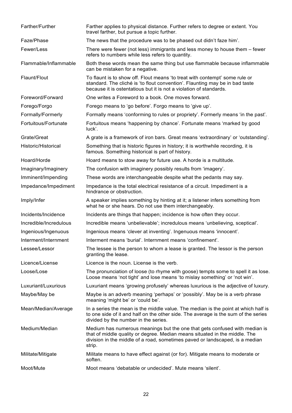| Farther/Further        | Farther applies to physical distance. Further refers to degree or extent. You<br>travel farther, but pursue a topic further.                                                                                                                       |
|------------------------|----------------------------------------------------------------------------------------------------------------------------------------------------------------------------------------------------------------------------------------------------|
| Faze/Phase             | The news that the procedure was to be phased out didn't faze him'.                                                                                                                                                                                 |
| Fewer/Less             | There were fewer (not less) immigrants and less money to house them - fewer<br>refers to numbers while less refers to quantity.                                                                                                                    |
| Flammable/Inflammable  | Both these words mean the same thing but use flammable because inflammable<br>can be mistaken for a negative.                                                                                                                                      |
| Flaunt/Flout           | To flaunt is to show off. Flout means 'to treat with contempt' some rule or<br>standard. The cliché is 'to flout convention'. Flaunting may be in bad taste<br>because it is ostentatious but it is not a violation of standards.                  |
| Foreword/Forward       | One writes a Foreword to a book. One moves forward.                                                                                                                                                                                                |
| Forego/Forgo           | Forego means to 'go before'. Forgo means to 'give up'.                                                                                                                                                                                             |
| Formally/Formerly      | Formally means 'conforming to rules or propriety'. Formerly means 'in the past'.                                                                                                                                                                   |
| Fortuitous/Fortunate   | Fortuitous means 'happening by chance'. Fortunate means 'marked by good<br>luck'.                                                                                                                                                                  |
| Grate/Great            | A grate is a framework of iron bars. Great means 'extraordinary' or 'outstanding'.                                                                                                                                                                 |
| Historic/Historical    | Something that is historic figures in history; it is worthwhile recording, it is<br>famous. Something historical is part of history.                                                                                                               |
| Hoard/Horde            | Hoard means to stow away for future use. A horde is a multitude.                                                                                                                                                                                   |
| Imaginary/Imaginery    | The confusion with imaginery possibly results from 'imagery'.                                                                                                                                                                                      |
| Imminent/Impending     | These words are interchangeable despite what the pedants may say.                                                                                                                                                                                  |
| Impedance/Impediment   | Impedance is the total electrical resistance of a circuit. Impediment is a<br>hindrance or obstruction.                                                                                                                                            |
| Imply/Infer            | A speaker implies something by hinting at it; a listener infers something from<br>what he or she hears. Do not use them interchangeably.                                                                                                           |
| Incidents/Incidence    | Incidents are things that happen; incidence is how often they occur.                                                                                                                                                                               |
| Incredible/Incredulous | Incredible means 'unbelievable'; incredulous means 'unbelieving, sceptical'.                                                                                                                                                                       |
| Ingenious/Ingenuous    | Ingenious means 'clever at inventing'. Ingenuous means 'innocent'.                                                                                                                                                                                 |
| Interment/Internment   | Interment means 'burial'. Internment means 'confinement'.                                                                                                                                                                                          |
| Lessee/Lessor          | The lessee is the person to whom a lease is granted. The lessor is the person<br>granting the lease.                                                                                                                                               |
| Licence/License        | Licence is the noun. License is the verb.                                                                                                                                                                                                          |
| Loose/Lose             | The pronunciation of loose (to rhyme with goose) tempts some to spell it as lose.<br>Loose means 'not tight' and lose means 'to mislay something' or 'not win'.                                                                                    |
| Luxuriant/Luxurious    | Luxuriant means 'growing profusely' whereas luxurious is the adjective of luxury.                                                                                                                                                                  |
| Maybe/May be           | Maybe is an adverb meaning 'perhaps' or 'possibly'. May be is a verb phrase<br>meaning 'might be' or 'could be'.                                                                                                                                   |
| Mean/Median/Average    | In a series the mean is the middle value. The median is the point at which half is<br>to one side of it and half on the other side. The average is the sum of the series<br>divided by the number in the series.                                   |
| Medium/Median          | Medium has numerous meanings but the one that gets confused with median is<br>that of middle quality or degree. Median means situated in the middle. The<br>division in the middle of a road, sometimes paved or landscaped, is a median<br>strip. |
| Militate/Mitigate      | Militate means to have effect against (or for). Mitigate means to moderate or<br>soften.                                                                                                                                                           |
| Moot/Mute              | Moot means 'debatable or undecided'. Mute means 'silent'.                                                                                                                                                                                          |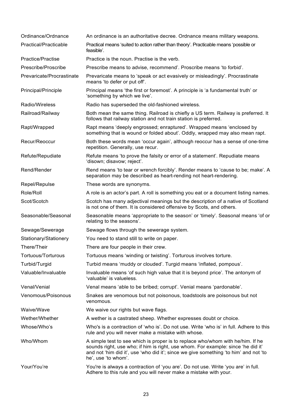| Ordinance/Ordnance        | An ordinance is an authoritative decree. Ordnance means military weapons.                                                                                                                                                                                                         |
|---------------------------|-----------------------------------------------------------------------------------------------------------------------------------------------------------------------------------------------------------------------------------------------------------------------------------|
| Practical/Practicable     | Practical means 'suited to action rather than theory'. Practicable means 'possible or<br>feasible'.                                                                                                                                                                               |
| Practice/Practise         | Practice is the noun. Practise is the verb.                                                                                                                                                                                                                                       |
| Prescribe/Proscribe       | Prescribe means to advise, recommend'. Proscribe means 'to forbid'.                                                                                                                                                                                                               |
| Prevaricate/Procrastinate | Prevaricate means to 'speak or act evasively or misleadingly'. Procrastinate<br>means 'to defer or put off'.                                                                                                                                                                      |
| Principal/Principle       | Principal means 'the first or foremost'. A principle is 'a fundamental truth' or<br>'something by which we live'.                                                                                                                                                                 |
| Radio/Wireless            | Radio has superseded the old-fashioned wireless.                                                                                                                                                                                                                                  |
| Railroad/Railway          | Both mean the same thing. Railroad is chiefly a US term. Railway is preferred. It<br>follows that railway station and not train station is preferred.                                                                                                                             |
| Rapt/Wrapped              | Rapt means 'deeply engrossed; enraptured'. Wrapped means 'enclosed by<br>something that is wound or folded about'. Oddly, wrapped may also mean rapt.                                                                                                                             |
| Recur/Reoccur             | Both these words mean 'occur again', although reoccur has a sense of one-time<br>repetition. Generally, use recur.                                                                                                                                                                |
| Refute/Repudiate          | Refute means 'to prove the falsity or error of a statement'. Repudiate means<br>'disown; disavow; reject'.                                                                                                                                                                        |
| Rend/Render               | Rend means 'to tear or wrench forcibly'. Render means to 'cause to be; make'. A<br>separation may be described as heart-rending not heart-rendering.                                                                                                                              |
| Repel/Repulse             | These words are synonyms.                                                                                                                                                                                                                                                         |
| Role/Roll                 | A role is an actor's part. A roll is something you eat or a document listing names.                                                                                                                                                                                               |
| Scot/Scotch               | Scotch has many adjectival meanings but the description of a native of Scotland<br>is not one of them. It is considered offensive by Scots, and others.                                                                                                                           |
| Seasonable/Seasonal       | Seasonable means 'appropriate to the season' or 'timely'. Seasonal means 'of or<br>relating to the seasons'.                                                                                                                                                                      |
| Sewage/Sewerage           | Sewage flows through the sewerage system.                                                                                                                                                                                                                                         |
| Stationary/Stationery     | You need to stand still to write on paper.                                                                                                                                                                                                                                        |
| There/Their               | There are four people in their crew.                                                                                                                                                                                                                                              |
| Tortuous/Torturous        | Tortuous means 'winding or twisting'. Torturous involves torture.                                                                                                                                                                                                                 |
| Turbid/Turgid             | Turbid means 'muddy or clouded'. Turgid means 'inflated, pompous'.                                                                                                                                                                                                                |
| Valuable/Invaluable       | Invaluable means 'of such high value that it is beyond price'. The antonym of<br>'valuable' is valueless.                                                                                                                                                                         |
| Venal/Venial              | Venal means 'able to be bribed; corrupt'. Venial means 'pardonable'.                                                                                                                                                                                                              |
| Venomous/Poisonous        | Snakes are venomous but not poisonous, toadstools are poisonous but not<br>venomous.                                                                                                                                                                                              |
| Waive/Wave                | We waive our rights but wave flags.                                                                                                                                                                                                                                               |
| Wether/Whether            | A wether is a castrated sheep. Whether expresses doubt or choice.                                                                                                                                                                                                                 |
| Whose/Who's               | Who's is a contraction of 'who is'. Do not use. Write 'who is' in full. Adhere to this<br>rule and you will never make a mistake with whose.                                                                                                                                      |
| Who/Whom                  | A simple test to see which is proper is to replace who/whom with he/him. If he<br>sounds right, use who; if him is right, use whom. For example: since 'he did it'<br>and not 'him did it', use 'who did it'; since we give something 'to him' and not 'to<br>he', use 'to whom'. |
| Your/You're               | You're is always a contraction of 'you are'. Do not use. Write 'you are' in full.<br>Adhere to this rule and you will never make a mistake with your.                                                                                                                             |